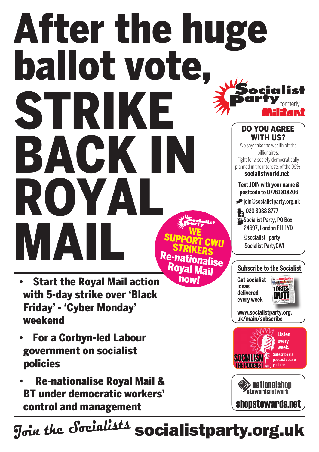# formerly **Text join with your name & postcode to 07761 818206** join@socialistparty.org.uk 29 020 8988 8777 Socialist Party, PO Box 24697, London E11 1YD @socialist \_party Socialist PartyCWI Do you agree WITH US? We say: take the wealth off the billionaires. Fight for a society democratically planned in the interests of the 99%. **socialistworld.net Subscribe to the Socialist** After the huge ballot vote, strike **BACK IN** Royal ME<br>
ME<br>
ME<br>
STRIKERS<br>
PASTRIKERS Re-nationalise Royal Majl

- **Start the Royal Mail action** with 5-day strike over 'Black Friday' - 'Cyber Monday' weekend
- **For a Corbyn-led Labour** government on socialist policies
- **Re-nationalise Royal Mail &** BT under democratic workers' control and management

J<sub>oin the</sub> Socialists socialistparty.org.uk

now!

**Get socialist ideas delivered** 

**every week**



**www.socialistparty.org. uk/main/subscribe**